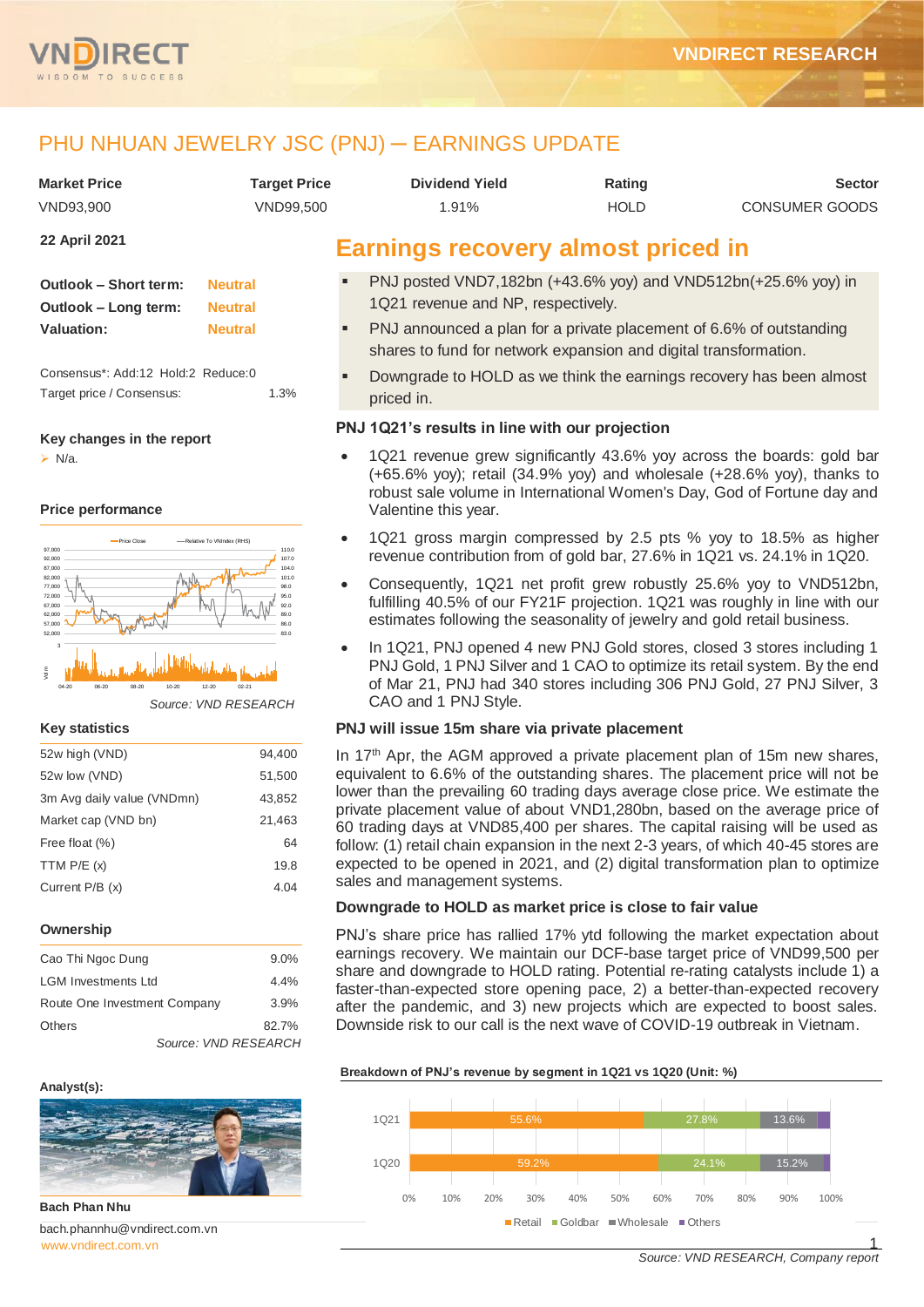

# PHU NHUAN JEWELRY JSC (PNJ) — EARNINGS UPDATE

| <b>Market Price</b>  | <b>Target Price</b> | <b>Dividend Yield</b>                     | Rating      | <b>Sector</b>         |
|----------------------|---------------------|-------------------------------------------|-------------|-----------------------|
| VND93.900            | VND99.500           | 1.91%                                     | <b>HOLD</b> | <b>CONSUMER GOODS</b> |
| <b>22 April 2021</b> |                     | <b>Earnings recovery almost priced in</b> |             |                       |

| Outlook - Short term: | <b>Neutral</b> |
|-----------------------|----------------|
| Outlook - Long term:  | <b>Neutral</b> |
| Valuation:            | <b>Neutral</b> |

Consensus\*: Add:12 Hold:2 Reduce:0 Target price / Consensus: 1.3%

#### **Key changes in the report**

 $\triangleright$  N/a.

#### **Price performance**



*Source: VND RESEARCH*

#### **Key statistics**

| 52w high (VND)             | 94,400 |
|----------------------------|--------|
| 52w low (VND)              | 51,500 |
| 3m Avg daily value (VNDmn) | 43,852 |
| Market cap (VND bn)        | 21,463 |
| Free float (%)             | 64     |
| TTM $P/E(x)$               | 19.8   |
| Current P/B (x)            | 4.04   |
|                            |        |

#### **Ownership**

| Cao Thi Ngoc Dung            | 9.0%    |
|------------------------------|---------|
| <b>LGM Investments Ltd</b>   | $4.4\%$ |
| Route One Investment Company | 3.9%    |
| <b>Others</b>                | 82.7%   |
| Source: VND RESEARCH         |         |

*Source: VND RESEARCH*

## **Analyst(s):**



**Bach Phan Nhu** bach.phannhu@vndirect.com.vn

- PNJ posted VND7,182bn (+43.6% yoy) and VND512bn(+25.6% yoy) in 1Q21 revenue and NP, respectively.
- PNJ announced a plan for a private placement of 6.6% of outstanding shares to fund for network expansion and digital transformation.
- Downgrade to HOLD as we think the earnings recovery has been almost priced in.

## **PNJ 1Q21's results in line with our projection**

- 1Q21 revenue grew significantly 43.6% yoy across the boards: gold bar  $(+65.6\%$  yoy); retail  $(34.9\%$  yoy) and wholesale  $(+28.6\%$  yoy), thanks to robust sale volume in International Women's Day, God of Fortune day and Valentine this year.
- 1Q21 gross margin compressed by 2.5 pts % yoy to 18.5% as higher revenue contribution from of gold bar, 27.6% in 1Q21 vs. 24.1% in 1Q20.
- Consequently, 1Q21 net profit grew robustly 25.6% yoy to VND512bn, fulfilling 40.5% of our FY21F projection. 1Q21 was roughly in line with our estimates following the seasonality of jewelry and gold retail business.
- In 1Q21, PNJ opened 4 new PNJ Gold stores, closed 3 stores including 1 PNJ Gold, 1 PNJ Silver and 1 CAO to optimize its retail system. By the end of Mar 21, PNJ had 340 stores including 306 PNJ Gold, 27 PNJ Silver, 3 CAO and 1 PNJ Style.

## **PNJ will issue 15m share via private placement**

In 17<sup>th</sup> Apr, the AGM approved a private placement plan of 15m new shares, equivalent to 6.6% of the outstanding shares. The placement price will not be lower than the prevailing 60 trading days average close price. We estimate the private placement value of about VND1,280bn, based on the average price of 60 trading days at VND85,400 per shares. The capital raising will be used as follow: (1) retail chain expansion in the next 2-3 years, of which 40-45 stores are expected to be opened in 2021, and (2) digital transformation plan to optimize sales and management systems.

## **Downgrade to HOLD as market price is close to fair value**

PNJ's share price has rallied 17% ytd following the market expectation about earnings recovery. We maintain our DCF-base target price of VND99,500 per share and downgrade to HOLD rating. Potential re-rating catalysts include 1) a faster-than-expected store opening pace, 2) a better-than-expected recovery after the pandemic, and 3) new projects which are expected to boost sales. Downside risk to our call is the next wave of COVID-19 outbreak in Vietnam.

**Breakdown of PNJ's revenue by segment in 1Q21 vs 1Q20 (Unit: %)**

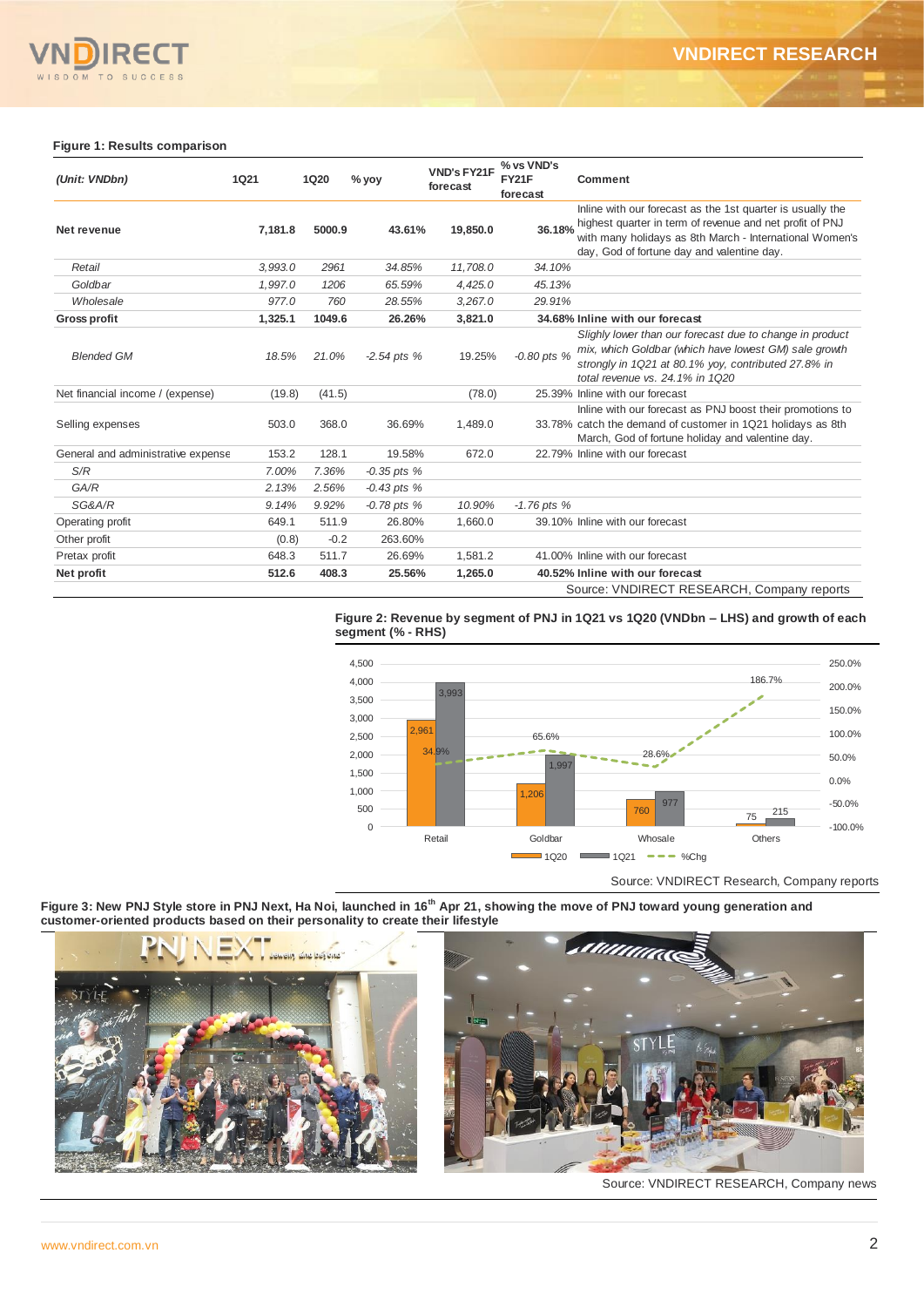

#### **Figure 1: Results comparison**

| (Unit: VNDbn)                      | <b>1Q21</b> | <b>1Q20</b> | % yoy           | <b>VND's FY21F</b><br>forecast | % vs VND's<br><b>FY21F</b><br>forecast | <b>Comment</b>                                                                                                                                                                                                                  |
|------------------------------------|-------------|-------------|-----------------|--------------------------------|----------------------------------------|---------------------------------------------------------------------------------------------------------------------------------------------------------------------------------------------------------------------------------|
| Net revenue                        | 7,181.8     | 5000.9      | 43.61%          | 19,850.0                       | 36.18%                                 | Inline with our forecast as the 1st quarter is usually the<br>highest quarter in term of revenue and net profit of PNJ<br>with many holidays as 8th March - International Women's<br>day, God of fortune day and valentine day. |
| Retail                             | 3,993.0     | 2961        | 34.85%          | 11,708.0                       | 34.10%                                 |                                                                                                                                                                                                                                 |
| Goldbar                            | 1,997.0     | 1206        | 65.59%          | 4,425.0                        | 45.13%                                 |                                                                                                                                                                                                                                 |
| Wholesale                          | 977.0       | 760         | 28.55%          | 3.267.0                        | 29.91%                                 |                                                                                                                                                                                                                                 |
| <b>Gross profit</b>                | 1,325.1     | 1049.6      | 26.26%          | 3,821.0                        |                                        | 34.68% Inline with our forecast                                                                                                                                                                                                 |
| <b>Blended GM</b>                  | 18.5%       | 21.0%       | $-2.54$ pts %   | 19.25%                         | $-0.80$ pts %                          | Slighly lower than our forecast due to change in product<br>mix, which Goldbar (which have lowest GM) sale growth<br>strongly in 1Q21 at 80.1% yoy, contributed 27.8% in<br>total revenue vs. 24.1% in 1020                     |
| Net financial income / (expense)   | (19.8)      | (41.5)      |                 | (78.0)                         |                                        | 25.39% Inline with our forecast                                                                                                                                                                                                 |
| Selling expenses                   | 503.0       | 368.0       | 36.69%          | 1,489.0                        |                                        | Inline with our forecast as PNJ boost their promotions to<br>33.78% catch the demand of customer in 1Q21 holidays as 8th<br>March, God of fortune holiday and valentine day.                                                    |
| General and administrative expense | 153.2       | 128.1       | 19.58%          | 672.0                          |                                        | 22.79% Inline with our forecast                                                                                                                                                                                                 |
| S/R                                | 7.00%       | 7.36%       | $-0.35$ pts $%$ |                                |                                        |                                                                                                                                                                                                                                 |
| GA/R                               | 2.13%       | 2.56%       | $-0.43$ pts %   |                                |                                        |                                                                                                                                                                                                                                 |
| SG&A/R                             | 9.14%       | 9.92%       | $-0.78$ pts $%$ | 10.90%                         | $-1.76$ pts %                          |                                                                                                                                                                                                                                 |
| Operating profit                   | 649.1       | 511.9       | 26.80%          | 1,660.0                        |                                        | 39.10% Inline with our forecast                                                                                                                                                                                                 |
| Other profit                       | (0.8)       | $-0.2$      | 263.60%         |                                |                                        |                                                                                                                                                                                                                                 |
| Pretax profit                      | 648.3       | 511.7       | 26.69%          | 1,581.2                        |                                        | 41,00% Inline with our forecast                                                                                                                                                                                                 |
| Net profit                         | 512.6       | 408.3       | 25.56%          | 1,265.0                        |                                        | 40.52% Inline with our forecast                                                                                                                                                                                                 |
|                                    |             |             |                 |                                |                                        | Source: VNDIRECT RESEARCH, Company reports                                                                                                                                                                                      |

**Figure 2: Revenue by segment of PNJ in 1Q21 vs 1Q20 (VNDbn – LHS) and growth of each segment (% - RHS)**



**Figure 3: New PNJ Style store in PNJ Next, Ha Noi, launched in 16th Apr 21, showing the move of PNJ toward young generation and customer-oriented products based on their personality to create their lifestyle**





Source: VNDIRECT RESEARCH, Company news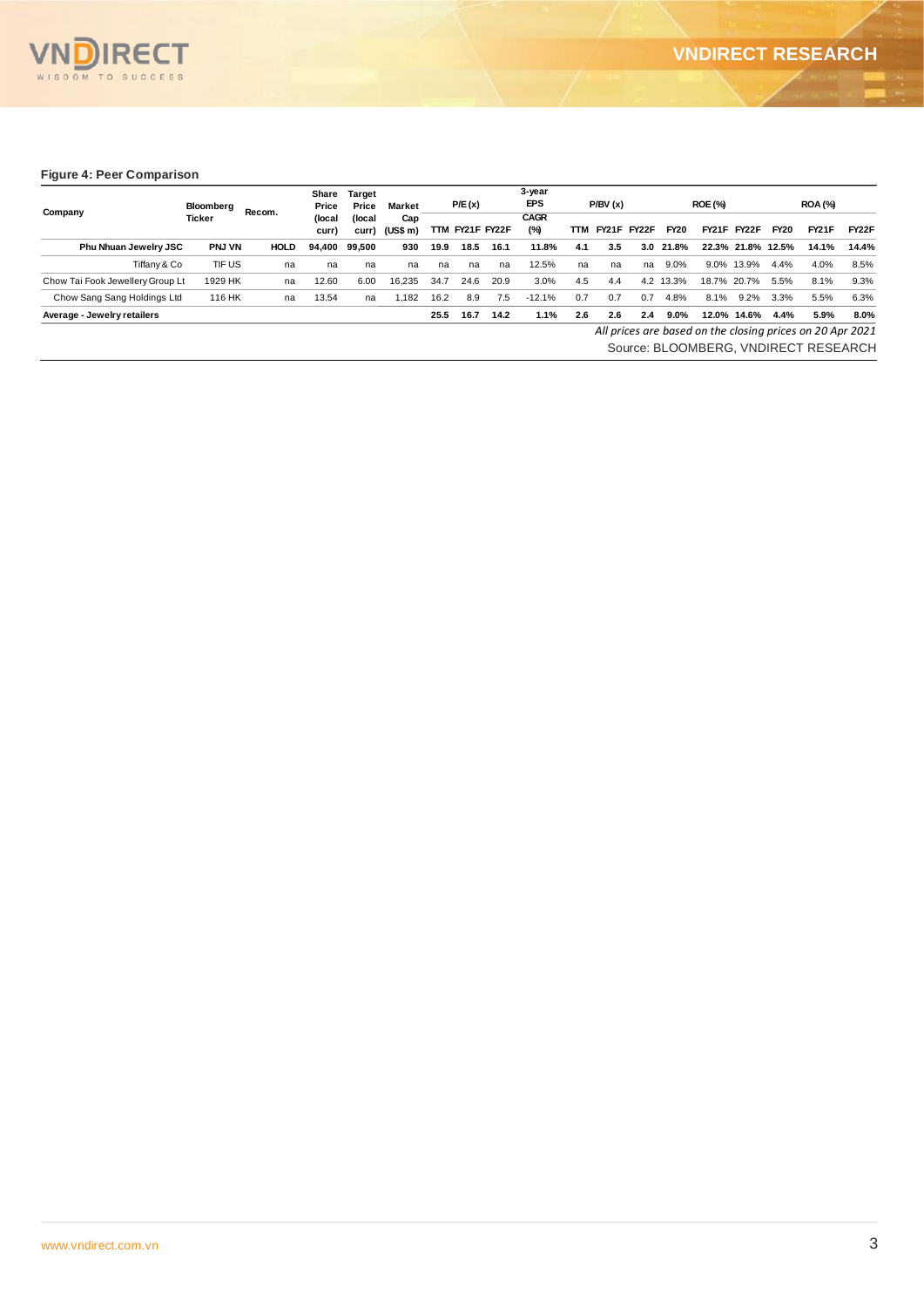

#### **Figure 4: Peer Comparison**

| Company                          | Bloomberg     | Recom.      | Share<br>Price  | Target<br>Price | Market                |      | P/E(x)          |      | 3-year<br><b>EPS</b> |     | P/BV(x)            |     |             | <b>ROE (%)</b> |                    |             | <b>ROA (%)</b>                                            |                    |
|----------------------------------|---------------|-------------|-----------------|-----------------|-----------------------|------|-----------------|------|----------------------|-----|--------------------|-----|-------------|----------------|--------------------|-------------|-----------------------------------------------------------|--------------------|
|                                  | Ticker        |             | (local<br>curr) | (local)         | Cap<br>curr) (US\$ m) |      | TTM FY21F FY22F |      | <b>CAGR</b><br>(%)   | TTM | <b>FY21F FY22F</b> |     | <b>FY20</b> |                | <b>FY21F FY22F</b> | <b>FY20</b> | <b>FY21F</b>                                              | FY <sub>2</sub> 2F |
| Phu Nhuan Jewelry JSC            | <b>PNJ VN</b> | <b>HOLD</b> | 94.400          | 99.500          | 930                   | 19.9 | 18.5            | 16.1 | 11.8%                | 4.1 | 3.5                | 3.0 | 21.8%       |                | 22.3% 21.8% 12.5%  |             | 14.1%                                                     | 14.4%              |
| Tiffany & Co                     | TIF US        | na          | na              | na              | na                    | na   | na              | na   | 12.5%                | na  | na                 | na  | 9.0%        | $9.0\%$        | 13.9%              | 4.4%        | 4.0%                                                      | 8.5%               |
| Chow Tai Fook Jewellery Group Lt | 1929 HK       | na          | 12.60           | 6.00            | 16.235                | 34.7 | 24.6            | 20.9 | 3.0%                 | 4.5 | 4.4                | 4.2 | 13.3%       | 18.7%          | 20.7%              | 5.5%        | 8.1%                                                      | 9.3%               |
| Chow Sang Sang Holdings Ltd      | 116 HK        | na          | 13.54           | na              | 1.182                 | 16.2 | 8.9             | 7.5  | $-12.1%$             | 0.7 | 0.7                | 0.7 | 4.8%        | 8.1%           | 9.2%               | 3.3%        | 5.5%                                                      | 6.3%               |
| Average - Jewelry retailers      |               |             |                 |                 |                       | 25.5 | 16.7            | 14.2 | 1.1%                 | 2.6 | 2.6                | 2.4 | 9.0%        |                | 12.0% 14.6%        | 4.4%        | 5.9%                                                      | 8.0%               |
|                                  |               |             |                 |                 |                       |      |                 |      |                      |     |                    |     |             |                |                    |             | All prices are based on the closing prices on 20 Apr 2021 |                    |
|                                  |               |             |                 |                 |                       |      |                 |      |                      |     |                    |     |             |                |                    |             | Source: BLOOMBERG, VNDIRECT RESEARCH                      |                    |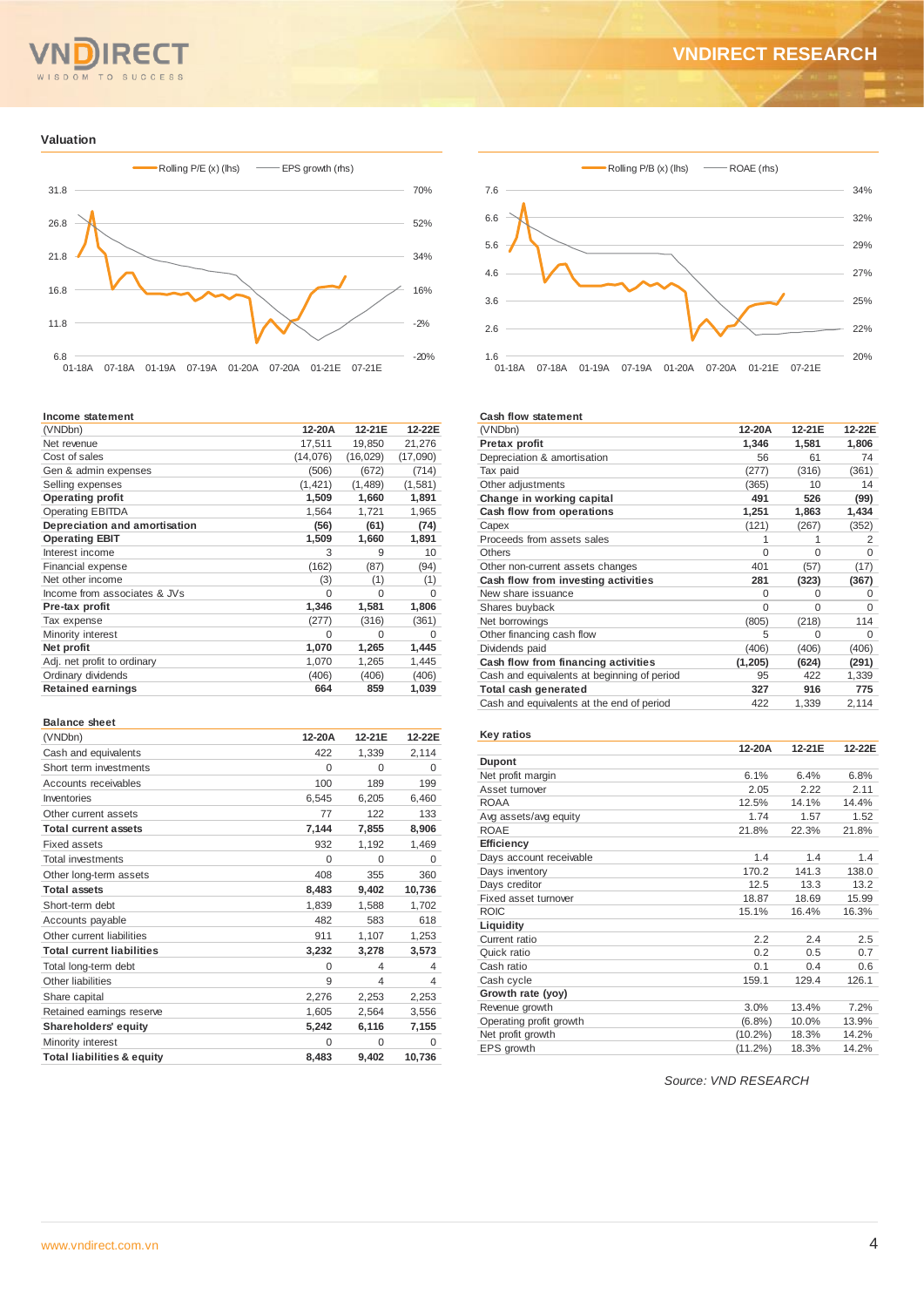#### TO<sub></sub>  $\overline{M}$ SUCCE

## **VNDIRECT RESEARCH**

#### **Valuation**



#### **Income statement**

| (VNDbn)                       | 12-20A   | 12-21E    | 12-22E   |
|-------------------------------|----------|-----------|----------|
| Net revenue                   | 17,511   | 19,850    | 21,276   |
| Cost of sales                 | (14,076) | (16, 029) | (17,090) |
| Gen & admin expenses          | (506)    | (672)     | (714)    |
| Selling expenses              | (1, 421) | (1,489)   | (1,581)  |
| <b>Operating profit</b>       | 1,509    | 1,660     | 1,891    |
| <b>Operating EBITDA</b>       | 1,564    | 1,721     | 1,965    |
| Depreciation and amortisation | (56)     | (61)      | (74)     |
| <b>Operating EBIT</b>         | 1,509    | 1,660     | 1,891    |
| Interest income               | 3        | 9         | 10       |
| Financial expense             | (162)    | (87)      | (94)     |
| Net other income              | (3)      | (1)       | (1)      |
| Income from associates & JVs  | $\Omega$ | 0         | $\Omega$ |
| Pre-tax profit                | 1,346    | 1,581     | 1,806    |
| Tax expense                   | (277)    | (316)     | (361)    |
| Minority interest             | O        | $\Omega$  | $\Omega$ |
| Net profit                    | 1,070    | 1,265     | 1,445    |
| Adj. net profit to ordinary   | 1,070    | 1,265     | 1,445    |
| Ordinary dividends            | (406)    | (406)     | (406)    |
| <b>Retained earnings</b>      | 664      | 859       | 1,039    |
|                               |          |           |          |

#### **Balance sheet**

| (VNDbn)                               | 12-20A   | 12-21E         | 12-22E   |
|---------------------------------------|----------|----------------|----------|
| Cash and equivalents                  | 422      | 1,339          | 2,114    |
| Short term investments                | $\Omega$ | $\Omega$       | 0        |
| Accounts receivables                  | 100      | 189            | 199      |
| Inventories                           | 6,545    | 6,205          | 6.460    |
| Other current assets                  | 77       | 122            | 133      |
| <b>Total current assets</b>           | 7,144    | 7,855          | 8,906    |
| Fixed assets                          | 932      | 1,192          | 1,469    |
| <b>Total investments</b>              | $\Omega$ | $\Omega$       | $\Omega$ |
| Other long-term assets                | 408      | 355            | 360      |
| <b>Total assets</b>                   | 8,483    | 9,402          | 10,736   |
| Short-term debt                       | 1,839    | 1,588          | 1,702    |
| Accounts payable                      | 482      | 583            | 618      |
| Other current liabilities             | 911      | 1,107          | 1,253    |
| <b>Total current liabilities</b>      | 3,232    | 3,278          | 3,573    |
| Total long-term debt                  | $\Omega$ | $\overline{4}$ | 4        |
| Other liabilities                     | 9        | 4              | 4        |
| Share capital                         | 2,276    | 2,253          | 2,253    |
| Retained earnings reserve             | 1,605    | 2,564          | 3,556    |
| <b>Shareholders' equity</b>           | 5,242    | 6,116          | 7,155    |
| Minority interest                     | $\Omega$ | $\Omega$       | $\Omega$ |
| <b>Total liabilities &amp; equity</b> | 8,483    | 9,402          | 10,736   |



#### **Cash flow statement**

| (VNDbn)                                     | 12-20A   | 12-21E   | 12-22E   |
|---------------------------------------------|----------|----------|----------|
| Pretax profit                               | 1,346    | 1,581    | 1,806    |
| Depreciation & amortisation                 | 56       | 61       | 74       |
| Tax paid                                    | (277)    | (316)    | (361)    |
| Other adjustments                           | (365)    | 10       | 14       |
| Change in working capital                   | 491      | 526      | (99)     |
| Cash flow from operations                   | 1,251    | 1,863    | 1,434    |
| Capex                                       | (121)    | (267)    | (352)    |
| Proceeds from assets sales                  |          |          | 2        |
| <b>Others</b>                               | $\Omega$ | $\Omega$ | $\Omega$ |
| Other non-current assets changes            | 401      | (57)     | (17)     |
| Cash flow from investing activities         | 281      | (323)    | (367)    |
| New share issuance                          | O        | $\Omega$ | O        |
| Shares buyback                              | $\Omega$ | $\Omega$ | $\Omega$ |
| Net borrowings                              | (805)    | (218)    | 114      |
| Other financing cash flow                   | 5        | $\Omega$ | 0        |
| Dividends paid                              | (406)    | (406)    | (406)    |
| Cash flow from financing activities         | (1, 205) | (624)    | (291)    |
| Cash and equivalents at beginning of period | 95       | 422      | 1,339    |
| Total cash generated                        | 327      | 916      | 775      |
| Cash and equivalents at the end of period   | 422      | 1,339    | 2,114    |

| <b>Key ratios</b>       |            |        |        |
|-------------------------|------------|--------|--------|
|                         | 12-20A     | 12-21F | 12-22E |
| <b>Dupont</b>           |            |        |        |
| Net profit margin       | 6.1%       | 6.4%   | 6.8%   |
| Asset turnover          | 2.05       | 2.22   | 2.11   |
| <b>ROAA</b>             | 12.5%      | 14.1%  | 14.4%  |
| Avg assets/avg equity   | 1.74       | 1.57   | 1.52   |
| <b>ROAE</b>             | 21.8%      | 22.3%  | 21.8%  |
| Efficiency              |            |        |        |
| Days account receivable | 1.4        | 1.4    | 14     |
| Days inventory          | 170.2      | 141.3  | 138.0  |
| Days creditor           | 12.5       | 13.3   | 13.2   |
| Fixed asset turnover    | 18.87      | 18.69  | 15.99  |
| <b>ROIC</b>             | 15.1%      | 16.4%  | 16.3%  |
| Liquidity               |            |        |        |
| Current ratio           | 2.2        | 2.4    | 2.5    |
| Quick ratio             | 0.2        | 0.5    | 0.7    |
| Cash ratio              | 0.1        | 0.4    | 0.6    |
| Cash cycle              | 159.1      | 129.4  | 126.1  |
| Growth rate (yoy)       |            |        |        |
| Revenue growth          | 3.0%       | 13.4%  | 7.2%   |
| Operating profit growth | $(6.8\%)$  | 10.0%  | 13.9%  |
| Net profit growth       | $(10.2\%)$ | 18.3%  | 14.2%  |
| EPS growth              | $(11.2\%)$ | 18.3%  | 14.2%  |
|                         |            |        |        |

*Source: VND RESEARCH*